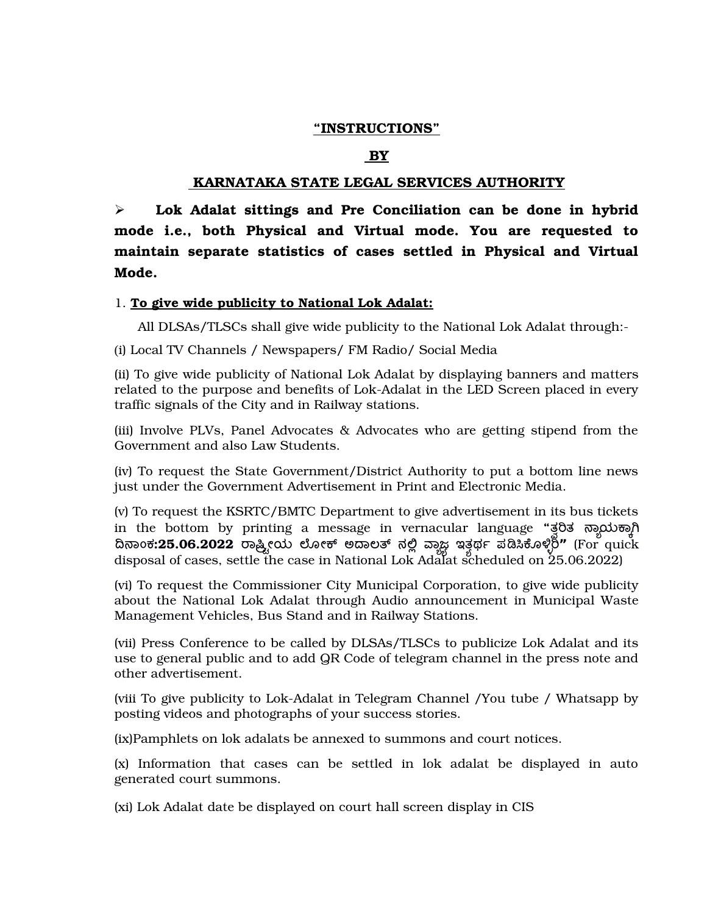## **"INSTRUCTIONS"**

## **BY**

## **KARNATAKA STATE LEGAL SERVICES AUTHORITY**

 **Lok Adalat sittings and Pre Conciliation can be done in hybrid mode i.e., both Physical and Virtual mode. You are requested to maintain separate statistics of cases settled in Physical and Virtual Mode.**

## 1. **To give wide publicity to National Lok Adalat:**

All DLSAs/TLSCs shall give wide publicity to the National Lok Adalat through:

(i) Local TV Channels / Newspapers/ FM Radio/ Social Media

(ii) To give wide publicity of National Lok Adalat by displaying banners and matters related to the purpose and benefits of Lok-Adalat in the LED Screen placed in every traffic signals of the City and in Railway stations.

(iii) Involve PLVs, Panel Advocates & Advocates who are getting stipend from the Government and also Law Students.

(iv) To request the State Government/District Authority to put a bottom line news just under the Government Advertisement in Print and Electronic Media.

(v) To request the KSRTC/BMTC Department to give advertisement in its bus tickets in the bottom by printing a message in vernacular language "ತ್ವರಿತ ನ್ಯಾಯಕ್ಕಾಗಿ ದಿನಾಂಕ**:25.06.2022** ರಾಷ್ಟ್ರೀಯ ಲೋಕ್ ಅದಾಲತ್ ನಲ್ಲಿ ವ್ಹಾಜ್ಯ ಇತ್ತರ್ಥ ಪಡಿಸಿಕೊಳ್ಳಿರಿ" (For quick disposal of cases, settle the case in National Lok Adalat scheduled on 25.06.2022)

(vi) To request the Commissioner City Municipal Corporation, to give wide publicity about the National Lok Adalat through Audio announcement in Municipal Waste Management Vehicles, Bus Stand and in Railway Stations.

(vii) Press Conference to be called by DLSAs/TLSCs to publicize Lok Adalat and its use to general public and to add QR Code of telegram channel in the press note and other advertisement.

(viii To give publicity to Lok-Adalat in Telegram Channel /You tube / Whatsapp by posting videos and photographs of your success stories.

(ix)Pamphlets on lok adalats be annexed to summons and court notices.

(x) Information that cases can be settled in lok adalat be displayed in auto generated court summons.

(xi) Lok Adalat date be displayed on court hall screen display in CIS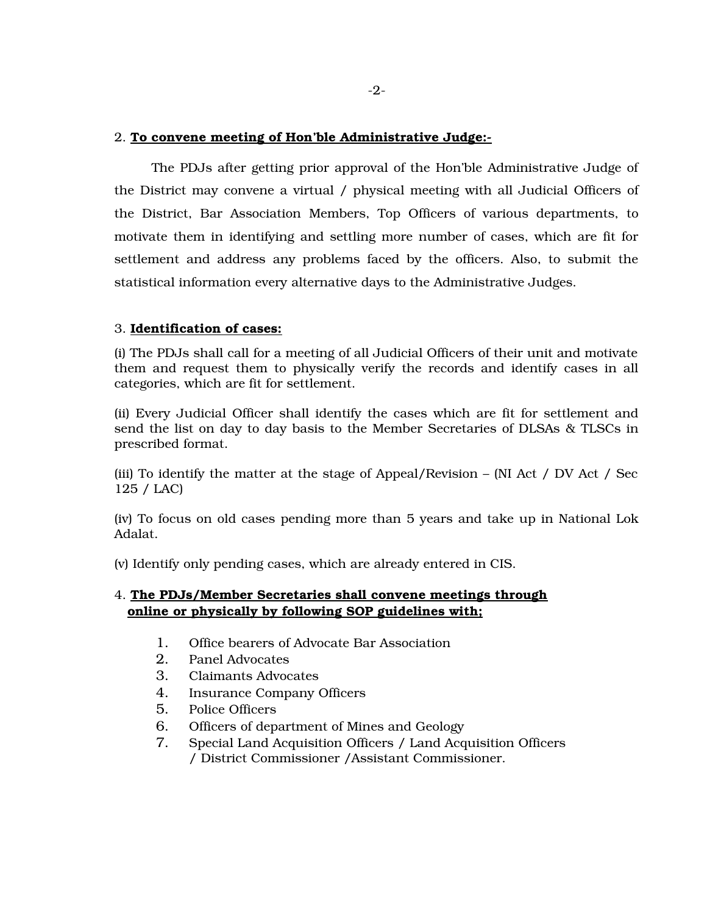## 2. **To convene meeting of Hon'ble Administrative Judge:**

 The PDJs after getting prior approval of the Hon'ble Administrative Judge of the District may convene a virtual / physical meeting with all Judicial Officers of the District, Bar Association Members, Top Officers of various departments, to motivate them in identifying and settling more number of cases, which are fit for settlement and address any problems faced by the officers. Also, to submit the statistical information every alternative days to the Administrative Judges.

# 3. **Identification of cases:**

(i) The PDJs shall call for a meeting of all Judicial Officers of their unit and motivate them and request them to physically verify the records and identify cases in all categories, which are fit for settlement.

(ii) Every Judicial Officer shall identify the cases which are fit for settlement and send the list on day to day basis to the Member Secretaries of DLSAs & TLSCs in prescribed format.

(iii) To identify the matter at the stage of Appeal/Revision – (NI Act / DV Act / Sec 125 / LAC)

(iv) To focus on old cases pending more than 5 years and take up in National Lok Adalat.

(v) Identify only pending cases, which are already entered in CIS.

# 4. **The PDJs/Member Secretaries shall convene meetings through online or physically by following SOP guidelines with;**

- 1. Office bearers of Advocate Bar Association
- 2. Panel Advocates
- 3. Claimants Advocates
- 4. Insurance Company Officers
- 5. Police Officers
- 6. Officers of department of Mines and Geology
- 7. Special Land Acquisition Officers / Land Acquisition Officers / District Commissioner /Assistant Commissioner.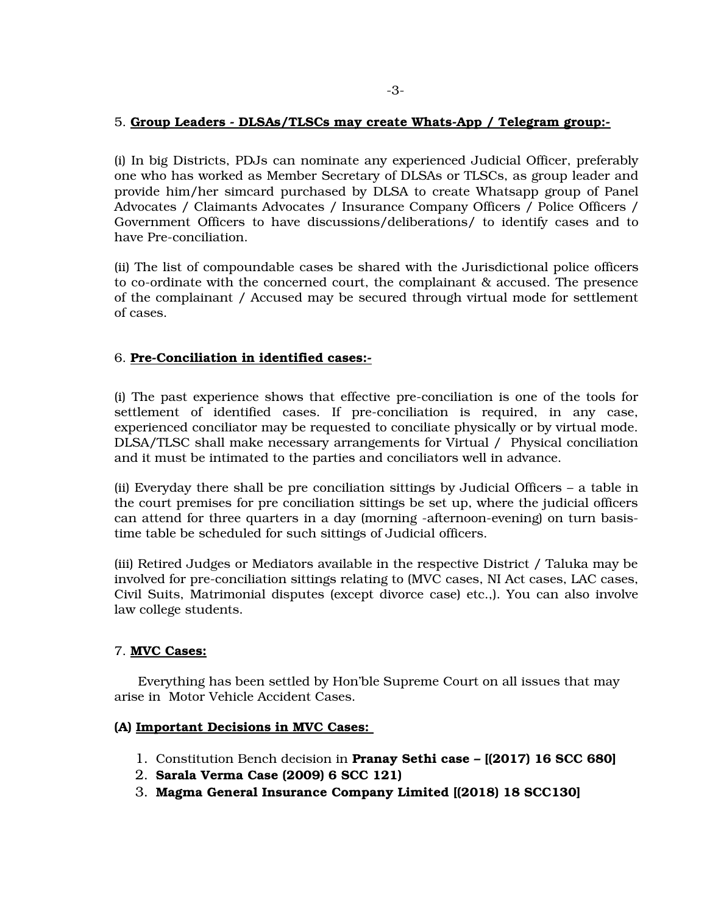## 5. **Group Leaders DLSAs/TLSCs may create WhatsApp / Telegram group:**

(i) In big Districts, PDJs can nominate any experienced Judicial Officer, preferably one who has worked as Member Secretary of DLSAs or TLSCs, as group leader and provide him/her simcard purchased by DLSA to create Whatsapp group of Panel Advocates / Claimants Advocates / Insurance Company Officers / Police Officers / Government Officers to have discussions/deliberations/ to identify cases and to have Pre-conciliation.

(ii) The list of compoundable cases be shared with the Jurisdictional police officers to co-ordinate with the concerned court, the complainant & accused. The presence of the complainant / Accused may be secured through virtual mode for settlement of cases.

## 6. **PreConciliation in identified cases:**

(i) The past experience shows that effective preconciliation is one of the tools for settlement of identified cases. If pre-conciliation is required, in any case, experienced conciliator may be requested to conciliate physically or by virtual mode. DLSA/TLSC shall make necessary arrangements for Virtual / Physical conciliation and it must be intimated to the parties and conciliators well in advance.

(ii) Everyday there shall be pre conciliation sittings by Judicial Officers – a table in the court premises for pre conciliation sittings be set up, where the judicial officers can attend for three quarters in a day (morning -afternoon-evening) on turn basistime table be scheduled for such sittings of Judicial officers.

(iii) Retired Judges or Mediators available in the respective District / Taluka may be involved for preconciliation sittings relating to (MVC cases, NI Act cases, LAC cases, Civil Suits, Matrimonial disputes (except divorce case) etc.,). You can also involve law college students.

## 7. **MVC Cases:**

Everything has been settled by Hon'ble Supreme Court on all issues that may arise in Motor Vehicle Accident Cases.

## **(A) Important Decisions in MVC Cases:**

- 1. Constitution Bench decision in **Pranay Sethi case [(2017) 16 SCC 680]**
- 2. **Sarala Verma Case (2009) 6 SCC 121)**
- 3. **Magma General Insurance Company Limited [(2018) 18 SCC130]**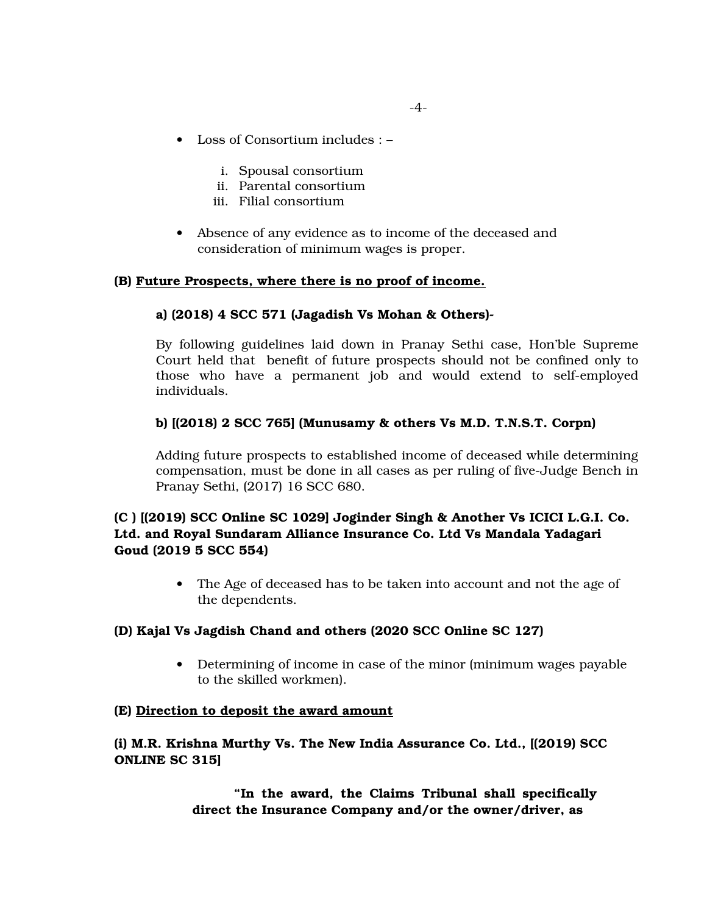- Loss of Consortium includes :
	- i. Spousal consortium
	- ii. Parental consortium
	- iii. Filial consortium
- Absence of any evidence as to income of the deceased and consideration of minimum wages is proper.

## **(B) Future Prospects, where there is no proof of income.**

## **a) (2018) 4 SCC 571 (Jagadish Vs Mohan & Others)**

By following guidelines laid down in Pranay Sethi case, Hon'ble Supreme Court held that benefit of future prospects should not be confined only to those who have a permanent job and would extend to self-employed individuals.

## **b) [(2018) 2 SCC 765] (Munusamy & others Vs M.D. T.N.S.T. Corpn)**

Adding future prospects to established income of deceased while determining compensation, must be done in all cases as per ruling of five-Judge Bench in Pranay Sethi, (2017) 16 SCC 680.

# **(C ) [(2019) SCC Online SC 1029] Joginder Singh & Another Vs ICICI L.G.I. Co. Ltd. and Royal Sundaram Alliance Insurance Co. Ltd Vs Mandala Yadagari Goud (2019 5 SCC 554)**

 The Age of deceased has to be taken into account and not the age of the dependents.

# **(D) Kajal Vs Jagdish Chand and others (2020 SCC Online SC 127)**

 Determining of income in case of the minor (minimum wages payable to the skilled workmen).

## **(E) Direction to deposit the award amount**

# **(i) M.R. Krishna Murthy Vs. The New India Assurance Co. Ltd., [(2019) SCC ONLINE SC 315]**

**"In the award, the Claims Tribunal shall specifically direct the Insurance Company and/or the owner/driver, as**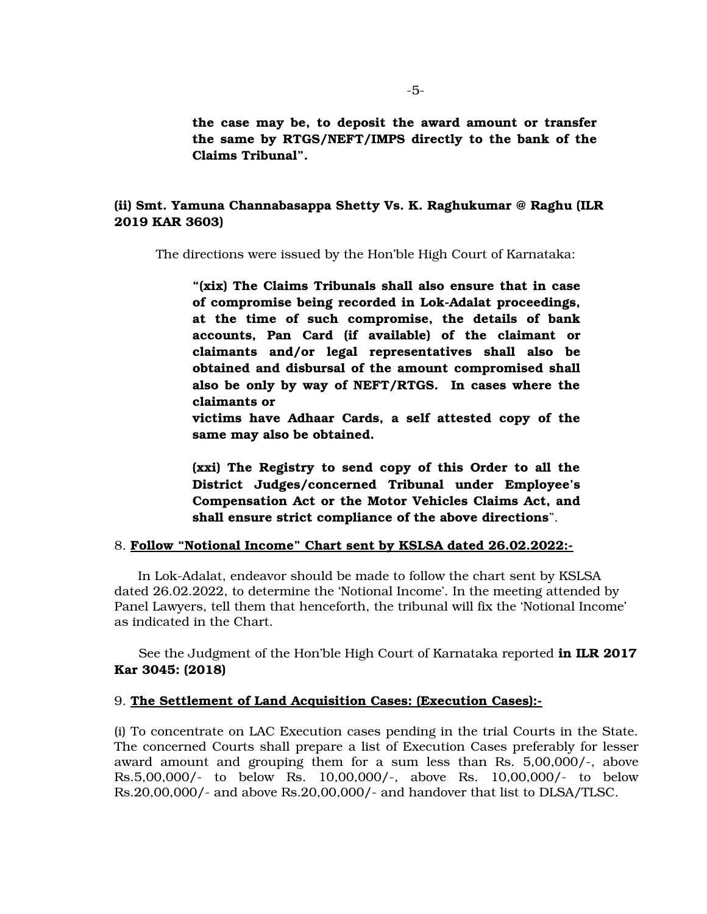**the case may be, to deposit the award amount or transfer the same by RTGS/NEFT/IMPS directly to the bank of the Claims Tribunal".**

# **(ii) Smt. Yamuna Channabasappa Shetty Vs. K. Raghukumar @ Raghu (ILR 2019 KAR 3603)**

The directions were issued by the Hon'ble High Court of Karnataka:

**"(xix) The Claims Tribunals shall also ensure that in case** of compromise being recorded in Lok-Adalat proceedings, **at the time of such compromise, the details of bank accounts, Pan Card (if available) of the claimant or claimants and/or legal representatives shall also be obtained and disbursal of the amount compromised shall also be only by way of NEFT/RTGS. In cases where the claimants or** 

**victims have Adhaar Cards, a self attested copy of the same may also be obtained.**

**(xxi) The Registry to send copy of this Order to all the District Judges/concerned Tribunal under Employee's Compensation Act or the Motor Vehicles Claims Act, and shall ensure strict compliance of the above directions**".

### 8. **Follow "Notional Income" Chart sent by KSLSA dated 26.02.2022:**

In Lok-Adalat, endeavor should be made to follow the chart sent by KSLSA dated 26.02.2022, to determine the 'Notional Income'. In the meeting attended by Panel Lawyers, tell them that henceforth, the tribunal will fix the 'Notional Income' as indicated in the Chart.

 See the Judgment of the Hon'ble High Court of Karnataka reported **in ILR 2017 Kar 3045: (2018)** 

### 9. **The Settlement of Land Acquisition Cases: (Execution Cases):**

(i) To concentrate on LAC Execution cases pending in the trial Courts in the State. The concerned Courts shall prepare a list of Execution Cases preferably for lesser award amount and grouping them for a sum less than Rs.  $5,00,000/$ , above Rs. 5,00,000/- to below Rs. 10,00,000/-, above Rs. 10,00,000/- to below Rs.20,00,000/ and above Rs.20,00,000/ and handover that list to DLSA/TLSC.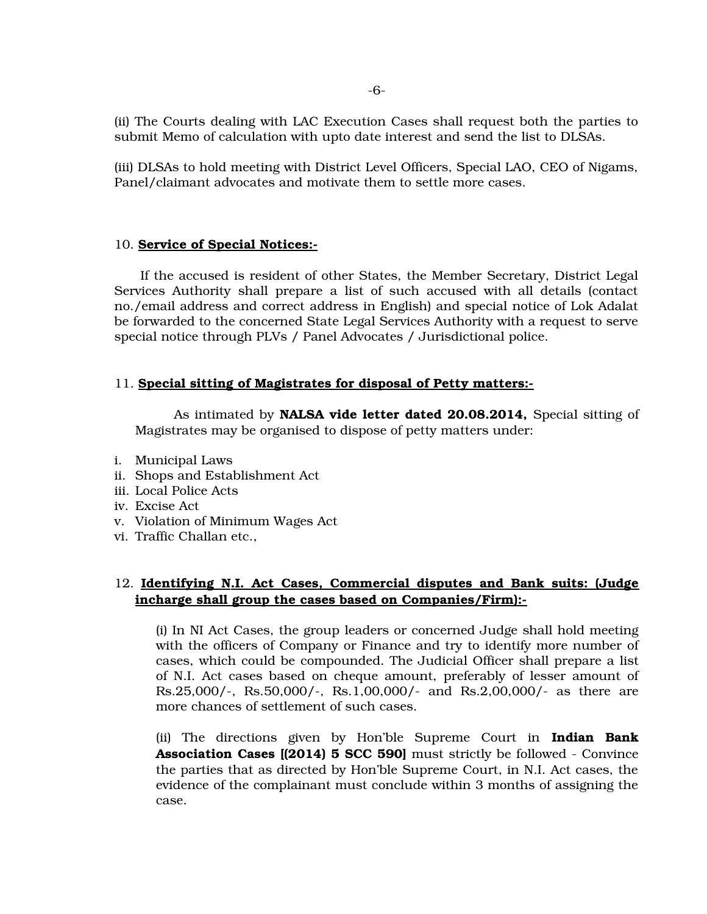(ii) The Courts dealing with LAC Execution Cases shall request both the parties to submit Memo of calculation with upto date interest and send the list to DLSAs.

(iii) DLSAs to hold meeting with District Level Officers, Special LAO, CEO of Nigams, Panel/claimant advocates and motivate them to settle more cases.

### 10. **Service of Special Notices:**

 If the accused is resident of other States, the Member Secretary, District Legal Services Authority shall prepare a list of such accused with all details (contact no./email address and correct address in English) and special notice of Lok Adalat be forwarded to the concerned State Legal Services Authority with a request to serve special notice through PLVs / Panel Advocates / Jurisdictional police.

### 11. **Special sitting of Magistrates for disposal of Petty matters:**

As intimated by **NALSA vide letter dated 20.08.2014**, Special sitting of Magistrates may be organised to dispose of petty matters under:

- i. Municipal Laws
- ii. Shops and Establishment Act
- iii. Local Police Acts
- iv. Excise Act
- v. Violation of Minimum Wages Act
- vi. Traffic Challan etc.,

# 12. **Identifying N.I. Act Cases, Commercial disputes and Bank suits: (Judge incharge shall group the cases based on Companies/Firm):**

(i) In NI Act Cases, the group leaders or concerned Judge shall hold meeting with the officers of Company or Finance and try to identify more number of cases, which could be compounded. The Judicial Officer shall prepare a list of N.I. Act cases based on cheque amount, preferably of lesser amount of Rs.25,000/-, Rs.50,000/-, Rs.1,00,000/- and Rs.2,00,000/- as there are more chances of settlement of such cases.

(ii) The directions given by Hon'ble Supreme Court in **Indian Bank Association Cases [(2014) 5 SCC 590]** must strictly be followed - Convince the parties that as directed by Hon'ble Supreme Court, in N.I. Act cases, the evidence of the complainant must conclude within 3 months of assigning the case.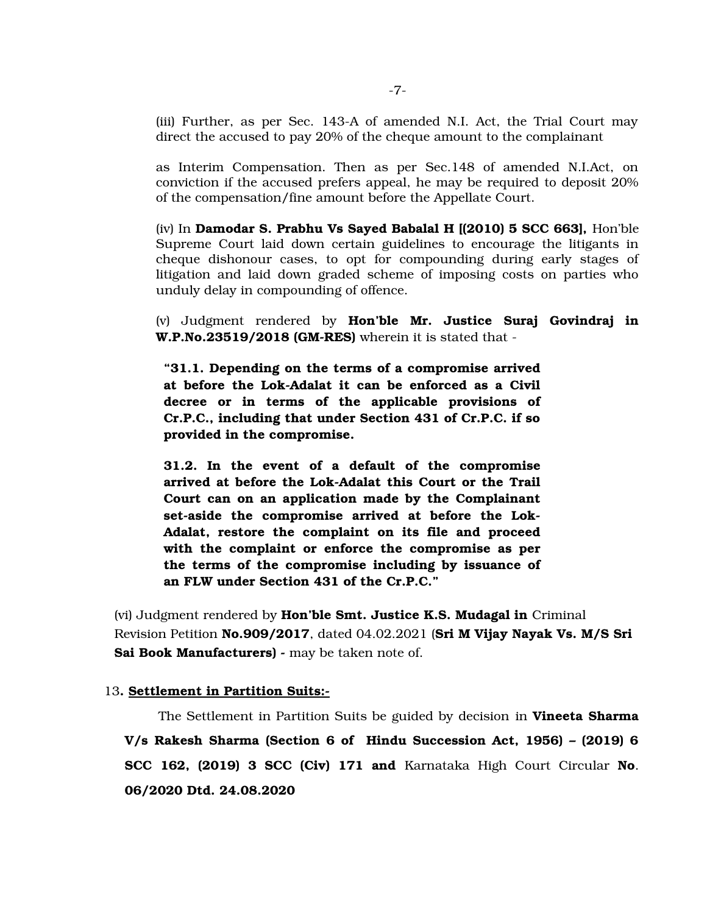(iii) Further, as per Sec. 143A of amended N.I. Act, the Trial Court may direct the accused to pay 20% of the cheque amount to the complainant

as Interim Compensation. Then as per Sec.148 of amended N.I.Act, on conviction if the accused prefers appeal, he may be required to deposit 20% of the compensation/fine amount before the Appellate Court.

(iv) In **Damodar S. Prabhu Vs Sayed Babalal H [(2010) 5 SCC 663],** Hon'ble Supreme Court laid down certain guidelines to encourage the litigants in cheque dishonour cases, to opt for compounding during early stages of litigation and laid down graded scheme of imposing costs on parties who unduly delay in compounding of offence.

(v) Judgment rendered by **Hon'ble Mr. Justice Suraj Govindraj in W.P.No.23519/2018 (GM-RES)** wherein it is stated that -

**"31.1. Depending on the terms of a compromise arrived** at before the Lok-Adalat it can be enforced as a Civil **decree or in terms of the applicable provisions of Cr.P.C., including that under Section 431 of Cr.P.C. if so provided in the compromise.**

**31.2. In the event of a default of the compromise** arrived at before the Lok-Adalat this Court or the Trail **Court can on an application made by the Complainant** set-aside the compromise arrived at before the Lok-**Adalat, restore the complaint on its file and proceed with the complaint or enforce the compromise as per the terms of the compromise including by issuance of an FLW under Section 431 of the Cr.P.C."**

(vi) Judgment rendered by **Hon'ble Smt. Justice K.S. Mudagal in** Criminal Revision Petition **No.909/2017**, dated 04.02.2021 (**Sri M Vijay Nayak Vs. M/S Sri**  Sai Book Manufacturers) - may be taken note of.

### 13**. Settlement in Partition Suits:**

 The Settlement in Partition Suits be guided by decision in **Vineeta Sharma V/s Rakesh Sharma (Section 6 of Hindu Succession Act, 1956) – (2019) 6 SCC 162, (2019) 3 SCC (Civ) 171 and** Karnataka High Court Circular **No**. **06/2020 Dtd. 24.08.2020**